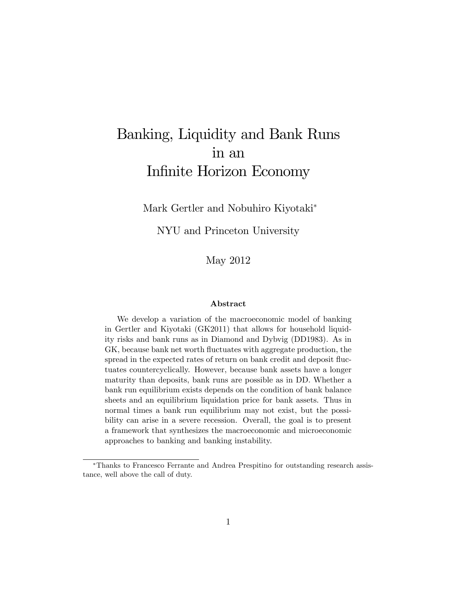# Banking, Liquidity and Bank Runs in an Infinite Horizon Economy

Mark Gertler and Nobuhiro Kiyotaki

NYU and Princeton University

May 2012

#### Abstract

We develop a variation of the macroeconomic model of banking in Gertler and Kiyotaki (GK2011) that allows for household liquidity risks and bank runs as in Diamond and Dybvig (DD1983). As in GK, because bank net worth fluctuates with aggregate production, the spread in the expected rates of return on bank credit and deposit fluctuates countercyclically. However, because bank assets have a longer maturity than deposits, bank runs are possible as in DD. Whether a bank run equilibrium exists depends on the condition of bank balance sheets and an equilibrium liquidation price for bank assets. Thus in normal times a bank run equilibrium may not exist, but the possibility can arise in a severe recession. Overall, the goal is to present a framework that synthesizes the macroeconomic and microeconomic approaches to banking and banking instability.

Thanks to Francesco Ferrante and Andrea Prespitino for outstanding research assistance, well above the call of duty.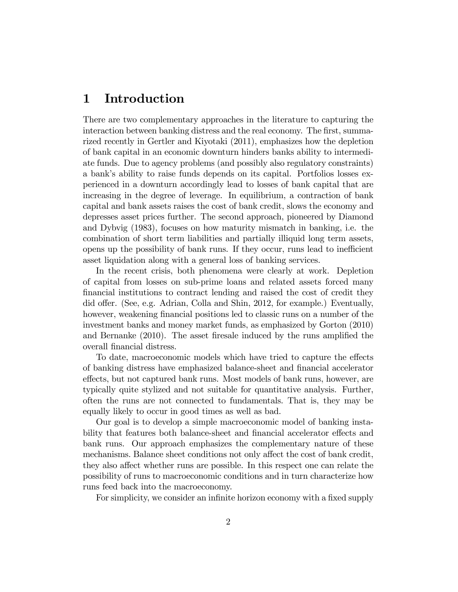# 1 Introduction

There are two complementary approaches in the literature to capturing the interaction between banking distress and the real economy. The first, summarized recently in Gertler and Kiyotaki (2011), emphasizes how the depletion of bank capital in an economic downturn hinders banks ability to intermediate funds. Due to agency problems (and possibly also regulatory constraints) a bank's ability to raise funds depends on its capital. Portfolios losses experienced in a downturn accordingly lead to losses of bank capital that are increasing in the degree of leverage. In equilibrium, a contraction of bank capital and bank assets raises the cost of bank credit, slows the economy and depresses asset prices further. The second approach, pioneered by Diamond and Dybvig (1983), focuses on how maturity mismatch in banking, i.e. the combination of short term liabilities and partially illiquid long term assets, opens up the possibility of bank runs. If they occur, runs lead to inefficient asset liquidation along with a general loss of banking services.

In the recent crisis, both phenomena were clearly at work. Depletion of capital from losses on sub-prime loans and related assets forced many Önancial institutions to contract lending and raised the cost of credit they did offer. (See, e.g. Adrian, Colla and Shin, 2012, for example.) Eventually, however, weakening financial positions led to classic runs on a number of the investment banks and money market funds, as emphasized by Gorton (2010) and Bernanke  $(2010)$ . The asset firesale induced by the runs amplified the overall Önancial distress.

To date, macroeconomic models which have tried to capture the effects of banking distress have emphasized balance-sheet and Önancial accelerator effects, but not captured bank runs. Most models of bank runs, however, are typically quite stylized and not suitable for quantitative analysis. Further, often the runs are not connected to fundamentals. That is, they may be equally likely to occur in good times as well as bad.

Our goal is to develop a simple macroeconomic model of banking instability that features both balance-sheet and financial accelerator effects and bank runs. Our approach emphasizes the complementary nature of these mechanisms. Balance sheet conditions not only affect the cost of bank credit, they also affect whether runs are possible. In this respect one can relate the possibility of runs to macroeconomic conditions and in turn characterize how runs feed back into the macroeconomy.

For simplicity, we consider an infinite horizon economy with a fixed supply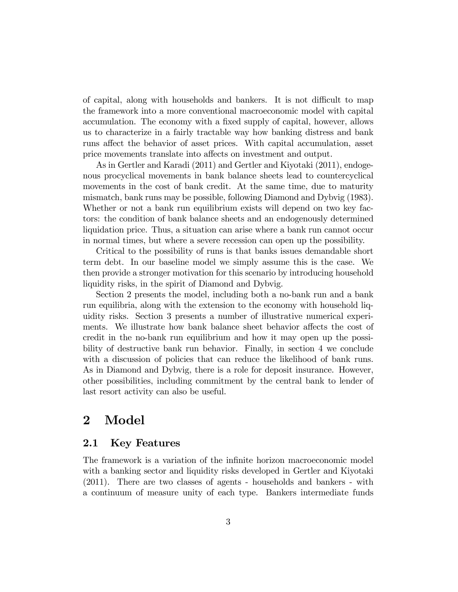of capital, along with households and bankers. It is not difficult to map the framework into a more conventional macroeconomic model with capital accumulation. The economy with a fixed supply of capital, however, allows us to characterize in a fairly tractable way how banking distress and bank runs affect the behavior of asset prices. With capital accumulation, asset price movements translate into affects on investment and output.

As in Gertler and Karadi (2011) and Gertler and Kiyotaki (2011), endogenous procyclical movements in bank balance sheets lead to countercyclical movements in the cost of bank credit. At the same time, due to maturity mismatch, bank runs may be possible, following Diamond and Dybvig (1983). Whether or not a bank run equilibrium exists will depend on two key factors: the condition of bank balance sheets and an endogenously determined liquidation price. Thus, a situation can arise where a bank run cannot occur in normal times, but where a severe recession can open up the possibility.

Critical to the possibility of runs is that banks issues demandable short term debt. In our baseline model we simply assume this is the case. We then provide a stronger motivation for this scenario by introducing household liquidity risks, in the spirit of Diamond and Dybvig.

Section 2 presents the model, including both a no-bank run and a bank run equilibria, along with the extension to the economy with household liquidity risks. Section 3 presents a number of illustrative numerical experiments. We illustrate how bank balance sheet behavior affects the cost of credit in the no-bank run equilibrium and how it may open up the possibility of destructive bank run behavior. Finally, in section 4 we conclude with a discussion of policies that can reduce the likelihood of bank runs. As in Diamond and Dybvig, there is a role for deposit insurance. However, other possibilities, including commitment by the central bank to lender of last resort activity can also be useful.

# 2 Model

### 2.1 Key Features

The framework is a variation of the infinite horizon macroeconomic model with a banking sector and liquidity risks developed in Gertler and Kiyotaki (2011). There are two classes of agents - households and bankers - with a continuum of measure unity of each type. Bankers intermediate funds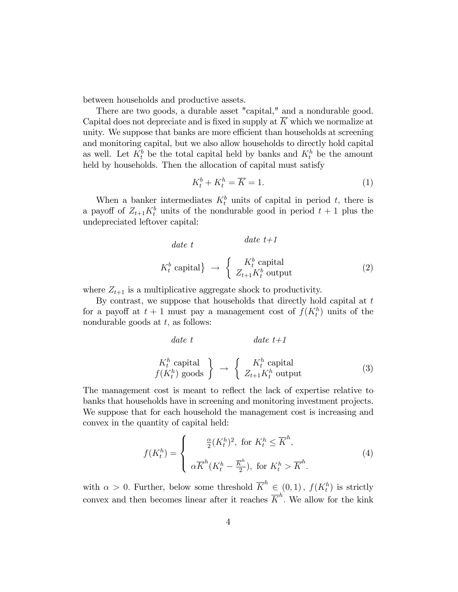between households and productive assets.

There are two goods, a durable asset "capital," and a nondurable good. Capital does not depreciate and is fixed in supply at  $\overline{K}$  which we normalize at unity. We suppose that banks are more efficient than households at screening and monitoring capital, but we also allow households to directly hold capital as well. Let  $K_t^b$  be the total capital held by banks and  $K_t^h$  be the amount held by households. Then the allocation of capital must satisfy

$$
K_t^b + K_t^h = \overline{K} = 1.
$$
 (1)

When a banker intermediates  $K_t^b$  units of capital in period t, there is a payoff of  $Z_{t+1}K_t^b$  units of the nondurable good in period  $t+1$  plus the undepreciated leftover capital:

date t K<sup>b</sup> t capital ! date t+1 K<sup>b</sup> t capital Zt+1K<sup>b</sup> <sup>t</sup> output (2)

where  $Z_{t+1}$  is a multiplicative aggregate shock to productivity.

By contrast, we suppose that households that directly hold capital at  $t$ for a payoff at  $t+1$  must pay a management cost of  $f(K_t^h)$  units of the nondurable goods at  $t$ , as follows:

$$
date \ t \t\t date \ t+1
$$
\n
$$
K_t^h \text{ capital} \t\t \frac{K_t^h \text{ capital}}{f(K_t^h) \text{ goods}} \t\t \rightarrow \t \begin{cases} K_t^h \text{ capital} \\ Z_{t+1} K_t^h \text{ output} \end{cases} \t\t (3)
$$

The management cost is meant to reflect the lack of expertise relative to banks that households have in screening and monitoring investment projects. We suppose that for each household the management cost is increasing and convex in the quantity of capital held:

$$
f(K_t^h) = \begin{cases} \frac{\alpha}{2} (K_t^h)^2, & \text{for } K_t^h \le \overline{K}^h, \\ \alpha \overline{K}^h (K_t^h - \overline{\frac{K}{2}}^h), & \text{for } K_t^h > \overline{K}^h. \end{cases}
$$
(4)

with  $\alpha > 0$ . Further, below some threshold  $\overline{K}^h \in (0,1)$ ,  $f(K_t^h)$  is strictly convex and then becomes linear after it reaches  $\overline{K}^h$ . We allow for the kink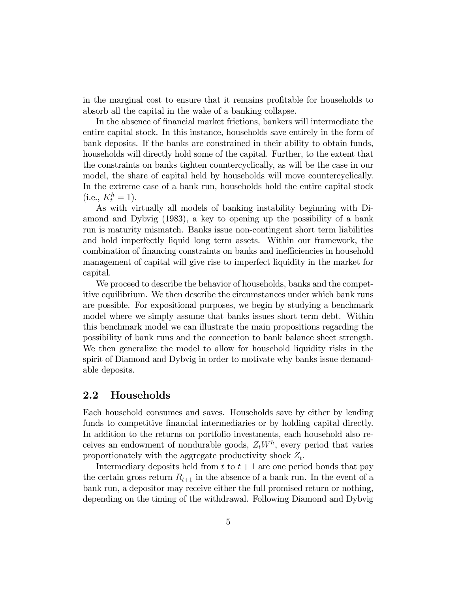in the marginal cost to ensure that it remains profitable for households to absorb all the capital in the wake of a banking collapse.

In the absence of financial market frictions, bankers will intermediate the entire capital stock. In this instance, households save entirely in the form of bank deposits. If the banks are constrained in their ability to obtain funds, households will directly hold some of the capital. Further, to the extent that the constraints on banks tighten countercyclically, as will be the case in our model, the share of capital held by households will move countercyclically. In the extreme case of a bank run, households hold the entire capital stock  $(i.e., K_t^h = 1).$ 

As with virtually all models of banking instability beginning with Diamond and Dybvig (1983), a key to opening up the possibility of a bank run is maturity mismatch. Banks issue non-contingent short term liabilities and hold imperfectly liquid long term assets. Within our framework, the combination of financing constraints on banks and inefficiencies in household management of capital will give rise to imperfect liquidity in the market for capital.

We proceed to describe the behavior of households, banks and the competitive equilibrium. We then describe the circumstances under which bank runs are possible. For expositional purposes, we begin by studying a benchmark model where we simply assume that banks issues short term debt. Within this benchmark model we can illustrate the main propositions regarding the possibility of bank runs and the connection to bank balance sheet strength. We then generalize the model to allow for household liquidity risks in the spirit of Diamond and Dybvig in order to motivate why banks issue demandable deposits.

### 2.2 Households

Each household consumes and saves. Households save by either by lending funds to competitive financial intermediaries or by holding capital directly. In addition to the returns on portfolio investments, each household also receives an endowment of nondurable goods,  $Z_t W^h$ , every period that varies proportionately with the aggregate productivity shock  $Z_t$ .

Intermediary deposits held from  $t$  to  $t + 1$  are one period bonds that pay the certain gross return  $R_{t+1}$  in the absence of a bank run. In the event of a bank run, a depositor may receive either the full promised return or nothing, depending on the timing of the withdrawal. Following Diamond and Dybvig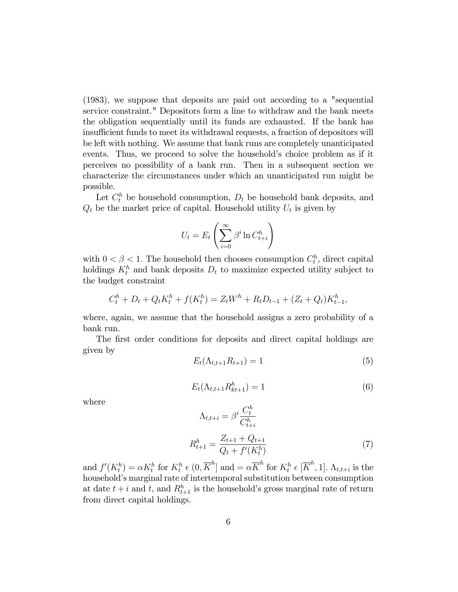(1983), we suppose that deposits are paid out according to a "sequential service constraint." Depositors form a line to withdraw and the bank meets the obligation sequentially until its funds are exhausted. If the bank has insufficient funds to meet its withdrawal requests, a fraction of depositors will be left with nothing. We assume that bank runs are completely unanticipated events. Thus, we proceed to solve the household's choice problem as if it perceives no possibility of a bank run. Then in a subsequent section we characterize the circumstances under which an unanticipated run might be possible.

Let  $C_t^h$  be household consumption,  $D_t$  be household bank deposits, and  $Q_t$  be the market price of capital. Household utility  $U_t$  is given by

$$
U_t = E_t \left( \sum_{i=0}^{\infty} \beta^i \ln C_{t+i}^h \right)
$$

with  $0 < \beta < 1$ . The household then chooses consumption  $C_t^h$ , direct capital holdings  $K_t^h$  and bank deposits  $D_t$  to maximize expected utility subject to the budget constraint

$$
C_t^h + D_t + Q_t K_t^h + f(K_t^h) = Z_t W^h + R_t D_{t-1} + (Z_t + Q_t) K_{t-1}^h,
$$

where, again, we assume that the household assigns a zero probability of a bank run.

The first order conditions for deposits and direct capital holdings are given by

$$
E_t(\Lambda_{t,t+1}R_{t+1}) = 1\tag{5}
$$

$$
E_t(\Lambda_{t,t+1}R_{kt+1}^h) = 1\tag{6}
$$

where

$$
\Lambda_{t,t+i} = \beta^i \frac{C_t^h}{C_{t+i}^h}
$$
\n
$$
R_{t+1}^h = \frac{Z_{t+1} + Q_{t+1}}{Q_t + f'(K_t^h)}
$$
\n(7)

and  $f'(K_t^h) = \alpha K_t^h$  for  $K_t^h \in (0, \overline{K}^h]$  and  $= \alpha \overline{K}^h$  for  $K_t^h \in [\overline{K}^h, 1]$ .  $\Lambda_{t,t+i}$  is the household's marginal rate of intertemporal substitution between consumption at date  $t + i$  and  $t$ , and  $R_{t+1}^h$  is the household's gross marginal rate of return from direct capital holdings.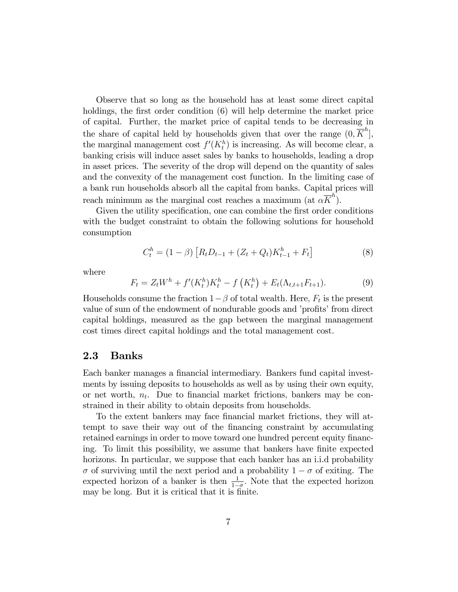Observe that so long as the household has at least some direct capital holdings, the first order condition  $(6)$  will help determine the market price of capital. Further, the market price of capital tends to be decreasing in the share of capital held by households given that over the range  $(0, \overline{K}^h]$ , the marginal management cost  $f'(K_t^h)$  is increasing. As will become clear, a banking crisis will induce asset sales by banks to households, leading a drop in asset prices. The severity of the drop will depend on the quantity of sales and the convexity of the management cost function. In the limiting case of a bank run households absorb all the capital from banks. Capital prices will reach minimum as the marginal cost reaches a maximum (at  $\alpha \overline{K}^h$ ).

Given the utility specification, one can combine the first order conditions with the budget constraint to obtain the following solutions for household consumption

$$
C_t^h = (1 - \beta) \left[ R_t D_{t-1} + (Z_t + Q_t) K_{t-1}^h + F_t \right]
$$
 (8)

where

$$
F_t = Z_t W^h + f'(K_t^h) K_t^h - f(K_t^h) + E_t(\Lambda_{t,t+1} F_{t+1}).
$$
\n(9)

Households consume the fraction  $1-\beta$  of total wealth. Here,  $F_t$  is the present value of sum of the endowment of nondurable goods and 'profits' from direct capital holdings, measured as the gap between the marginal management cost times direct capital holdings and the total management cost.

### 2.3 Banks

Each banker manages a financial intermediary. Bankers fund capital investments by issuing deposits to households as well as by using their own equity, or net worth,  $n_t$ . Due to financial market frictions, bankers may be constrained in their ability to obtain deposits from households.

To the extent bankers may face financial market frictions, they will attempt to save their way out of the financing constraint by accumulating retained earnings in order to move toward one hundred percent equity financing. To limit this possibility, we assume that bankers have finite expected horizons. In particular, we suppose that each banker has an i.i.d probability  $\sigma$  of surviving until the next period and a probability  $1 - \sigma$  of exiting. The expected horizon of a banker is then  $\frac{1}{1-\sigma}$ . Note that the expected horizon may be long. But it is critical that it is finite.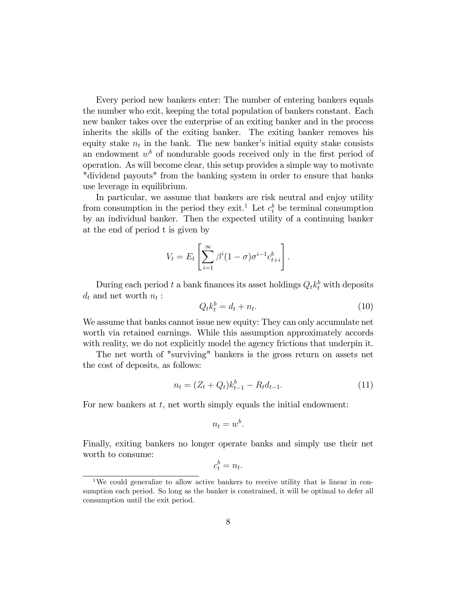Every period new bankers enter: The number of entering bankers equals the number who exit, keeping the total population of bankers constant. Each new banker takes over the enterprise of an exiting banker and in the process inherits the skills of the exiting banker. The exiting banker removes his equity stake  $n_t$  in the bank. The new banker's initial equity stake consists an endowment  $w<sup>b</sup>$  of nondurable goods received only in the first period of operation. As will become clear, this setup provides a simple way to motivate "dividend payouts" from the banking system in order to ensure that banks use leverage in equilibrium.

In particular, we assume that bankers are risk neutral and enjoy utility from consumption in the period they exit.<sup>1</sup> Let  $c_t^b$  be terminal consumption by an individual banker. Then the expected utility of a continuing banker at the end of period t is given by

$$
V_t = E_t \left[ \sum_{i=1}^{\infty} \beta^i (1 - \sigma) \sigma^{i-1} c_{t+i}^b \right].
$$

During each period t a bank finances its asset holdings  $Q_t k_t^b$  with deposits  $d_t$  and net worth  $n_t$ :

$$
Q_t k_t^b = d_t + n_t. \tag{10}
$$

We assume that banks cannot issue new equity: They can only accumulate net worth via retained earnings. While this assumption approximately accords with reality, we do not explicitly model the agency frictions that underpin it.

The net worth of "surviving" bankers is the gross return on assets net the cost of deposits, as follows:

$$
n_t = (Z_t + Q_t)k_{t-1}^b - R_t d_{t-1}.
$$
\n(11)

For new bankers at  $t$ , net worth simply equals the initial endowment:

$$
n_t = w^b.
$$

Finally, exiting bankers no longer operate banks and simply use their net worth to consume:

$$
c_t^b = n_t.
$$

<sup>&</sup>lt;sup>1</sup>We could generalize to allow active bankers to receive utility that is linear in consumption each period. So long as the banker is constrained, it will be optimal to defer all consumption until the exit period.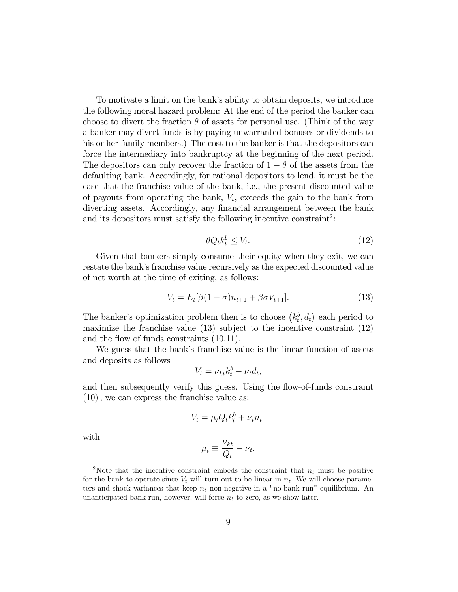To motivate a limit on the bankís ability to obtain deposits, we introduce the following moral hazard problem: At the end of the period the banker can choose to divert the fraction  $\theta$  of assets for personal use. (Think of the way a banker may divert funds is by paying unwarranted bonuses or dividends to his or her family members.) The cost to the banker is that the depositors can force the intermediary into bankruptcy at the beginning of the next period. The depositors can only recover the fraction of  $1 - \theta$  of the assets from the defaulting bank. Accordingly, for rational depositors to lend, it must be the case that the franchise value of the bank, i.e., the present discounted value of payouts from operating the bank,  $V_t$ , exceeds the gain to the bank from diverting assets. Accordingly, any financial arrangement between the bank and its depositors must satisfy the following incentive constraint<sup>2</sup>:

$$
\theta Q_t k_t^b \le V_t. \tag{12}
$$

Given that bankers simply consume their equity when they exit, we can restate the bank's franchise value recursively as the expected discounted value of net worth at the time of exiting, as follows:

$$
V_t = E_t[\beta(1-\sigma)n_{t+1} + \beta\sigma V_{t+1}].
$$
\n(13)

The banker's optimization problem then is to choose  $(k_t^b, d_t)$  each period to maximize the franchise value  $(13)$  subject to the incentive constraint  $(12)$ and the flow of funds constraints  $(10,11)$ .

We guess that the bank's franchise value is the linear function of assets and deposits as follows

$$
V_t = \nu_{kt} k_t^b - \nu_t d_t,
$$

and then subsequently verify this guess. Using the flow-of-funds constraint  $(10)$ , we can express the franchise value as:

$$
V_t = \mu_t Q_t k_t^b + \nu_t n_t
$$

with

$$
\mu_t \equiv \frac{\nu_{kt}}{Q_t} - \nu_t.
$$

<sup>&</sup>lt;sup>2</sup>Note that the incentive constraint embeds the constraint that  $n_t$  must be positive for the bank to operate since  $V_t$  will turn out to be linear in  $n_t$ . We will choose parameters and shock variances that keep  $n_t$  non-negative in a "no-bank run" equilibrium. An unanticipated bank run, however, will force  $n_t$  to zero, as we show later.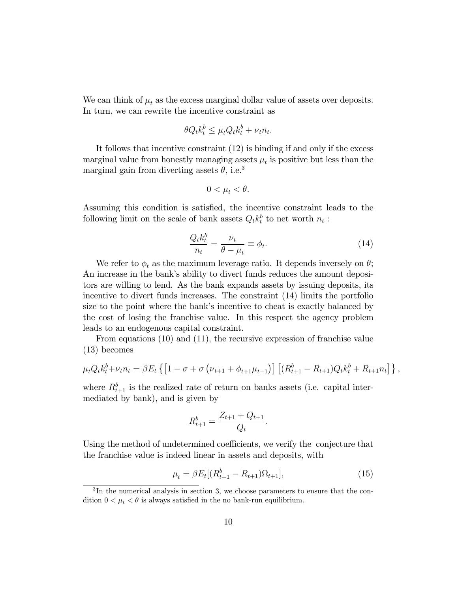We can think of  $\mu_t$  as the excess marginal dollar value of assets over deposits. In turn, we can rewrite the incentive constraint as

$$
\theta Q_t k_t^b \le \mu_t Q_t k_t^b + \nu_t n_t.
$$

It follows that incentive constraint (12) is binding if and only if the excess marginal value from honestly managing assets  $\mu_t$  is positive but less than the marginal gain from diverting assets  $\theta$ , i.e.<sup>3</sup>

$$
0<\mu_t<\theta.
$$

Assuming this condition is satisfied, the incentive constraint leads to the following limit on the scale of bank assets  $Q_t k_t^b$  to net worth  $n_t$ :

$$
\frac{Q_t k_t^b}{n_t} = \frac{\nu_t}{\theta - \mu_t} \equiv \phi_t.
$$
\n(14)

We refer to  $\phi_t$  as the maximum leverage ratio. It depends inversely on  $\theta$ ; An increase in the bank's ability to divert funds reduces the amount depositors are willing to lend. As the bank expands assets by issuing deposits, its incentive to divert funds increases. The constraint (14) limits the portfolio size to the point where the bank's incentive to cheat is exactly balanced by the cost of losing the franchise value. In this respect the agency problem leads to an endogenous capital constraint.

From equations (10) and (11), the recursive expression of franchise value (13) becomes

$$
\mu_t Q_t k_t^b + \nu_t n_t = \beta E_t \left\{ \left[ 1 - \sigma + \sigma \left( \nu_{t+1} + \phi_{t+1} \mu_{t+1} \right) \right] \left[ (R_{t+1}^b - R_{t+1}) Q_t k_t^b + R_{t+1} n_t \right] \right\},
$$

where  $R_{t+1}^b$  is the realized rate of return on banks assets (i.e. capital intermediated by bank), and is given by

$$
R_{t+1}^b = \frac{Z_{t+1} + Q_{t+1}}{Q_t}.
$$

Using the method of undetermined coefficients, we verify the conjecture that the franchise value is indeed linear in assets and deposits, with

$$
\mu_t = \beta E_t [(R_{t+1}^b - R_{t+1})\Omega_{t+1}], \tag{15}
$$

<sup>&</sup>lt;sup>3</sup>In the numerical analysis in section 3, we choose parameters to ensure that the condition  $0 < \mu_t < \theta$  is always satisfied in the no bank-run equilibrium.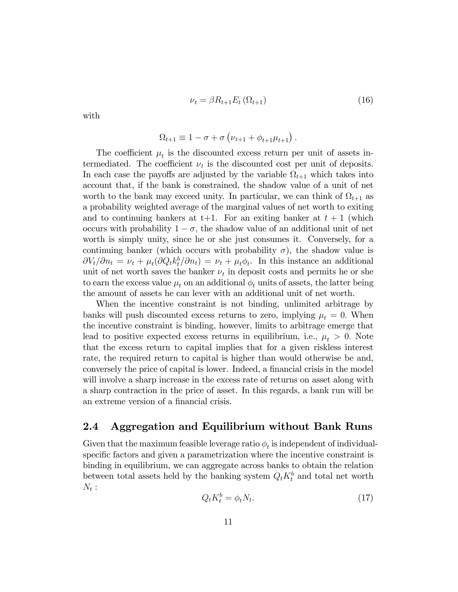$$
\nu_t = \beta R_{t+1} E_t \left( \Omega_{t+1} \right) \tag{16}
$$

with

$$
\Omega_{t+1} \equiv 1 - \sigma + \sigma \left( \nu_{t+1} + \phi_{t+1} \mu_{t+1} \right).
$$

The coefficient  $\mu_t$  is the discounted excess return per unit of assets intermediated. The coefficient  $\nu_t$  is the discounted cost per unit of deposits. In each case the payoffs are adjusted by the variable  $\Omega_{t+1}$  which takes into account that, if the bank is constrained, the shadow value of a unit of net worth to the bank may exceed unity. In particular, we can think of  $\Omega_{t+1}$  as a probability weighted average of the marginal values of net worth to exiting and to continuing bankers at  $t+1$ . For an exiting banker at  $t+1$  (which occurs with probability  $1 - \sigma$ , the shadow value of an additional unit of net worth is simply unity, since he or she just consumes it. Conversely, for a continuing banker (which occurs with probability  $\sigma$ ), the shadow value is  $\partial V_t/\partial n_t = \nu_t + \mu_t(\partial Q_t k_t^b/\partial n_t) = \nu_t + \mu_t \phi_t$ . In this instance an additional unit of net worth saves the banker  $\nu_t$  in deposit costs and permits he or she to earn the excess value  $\mu_t$  on an additional  $\phi_t$  units of assets, the latter being the amount of assets he can lever with an additional unit of net worth.

When the incentive constraint is not binding, unlimited arbitrage by banks will push discounted excess returns to zero, implying  $\mu_t = 0$ . When the incentive constraint is binding, however, limits to arbitrage emerge that lead to positive expected excess returns in equilibrium, i.e.,  $\mu_t > 0$ . Note that the excess return to capital implies that for a given riskless interest rate, the required return to capital is higher than would otherwise be and, conversely the price of capital is lower. Indeed, a financial crisis in the model will involve a sharp increase in the excess rate of returns on asset along with a sharp contraction in the price of asset. In this regards, a bank run will be an extreme version of a financial crisis.

## 2.4 Aggregation and Equilibrium without Bank Runs

Given that the maximum feasible leverage ratio  $\phi_t$  is independent of individualspecific factors and given a parametrization where the incentive constraint is binding in equilibrium, we can aggregate across banks to obtain the relation between total assets held by the banking system  $Q_t K_t^b$  and total net worth  $N_t:$ 

$$
Q_t K_t^b = \phi_t N_t. \tag{17}
$$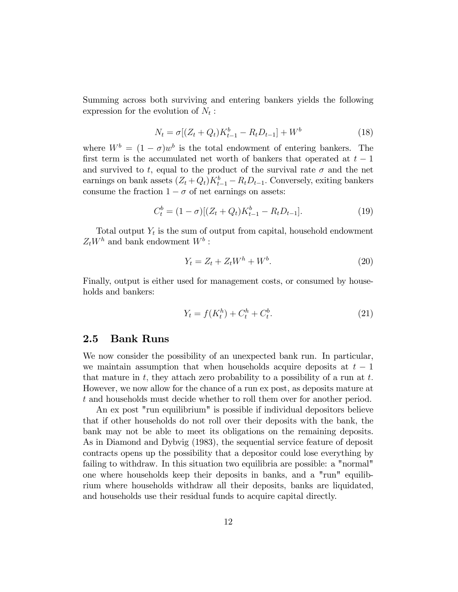Summing across both surviving and entering bankers yields the following expression for the evolution of  $N_t$ :

$$
N_t = \sigma[(Z_t + Q_t)K_{t-1}^b - R_tD_{t-1}] + W^b
$$
\n(18)

where  $W^b = (1 - \sigma)w^b$  is the total endowment of entering bankers. The first term is the accumulated net worth of bankers that operated at  $t - 1$ and survived to t, equal to the product of the survival rate  $\sigma$  and the net earnings on bank assets  $(Z_t + Q_t)K_{t-1}^b - R_tD_{t-1}$ . Conversely, exiting bankers consume the fraction  $1 - \sigma$  of net earnings on assets:

$$
C_t^b = (1 - \sigma)[(Z_t + Q_t)K_{t-1}^b - R_t D_{t-1}].
$$
\n(19)

Total output  $Y_t$  is the sum of output from capital, household endowment  $Z_t W^h$  and bank endowment  $W^b$ :

$$
Y_t = Z_t + Z_t W^h + W^b. \tag{20}
$$

Finally, output is either used for management costs, or consumed by households and bankers:

$$
Y_t = f(K_t^h) + C_t^h + C_t^b. \tag{21}
$$

### 2.5 Bank Runs

We now consider the possibility of an unexpected bank run. In particular, we maintain assumption that when households acquire deposits at  $t-1$ that mature in  $t$ , they attach zero probability to a possibility of a run at  $t$ . However, we now allow for the chance of a run ex post, as deposits mature at t and households must decide whether to roll them over for another period.

An ex post "run equilibrium" is possible if individual depositors believe that if other households do not roll over their deposits with the bank, the bank may not be able to meet its obligations on the remaining deposits. As in Diamond and Dybvig (1983), the sequential service feature of deposit contracts opens up the possibility that a depositor could lose everything by failing to withdraw. In this situation two equilibria are possible: a "normal" one where households keep their deposits in banks, and a "run" equilibrium where households withdraw all their deposits, banks are liquidated, and households use their residual funds to acquire capital directly.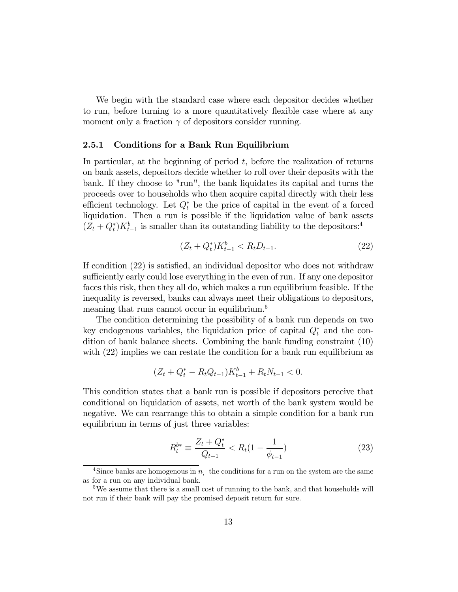We begin with the standard case where each depositor decides whether to run, before turning to a more quantitatively flexible case where at any moment only a fraction  $\gamma$  of depositors consider running.

#### 2.5.1 Conditions for a Bank Run Equilibrium

In particular, at the beginning of period  $t$ , before the realization of returns on bank assets, depositors decide whether to roll over their deposits with the bank. If they choose to "run", the bank liquidates its capital and turns the proceeds over to households who then acquire capital directly with their less efficient technology. Let  $Q_t^*$  be the price of capital in the event of a forced liquidation. Then a run is possible if the liquidation value of bank assets  $(Z_t + Q_t^*)K_{t-1}^b$  is smaller than its outstanding liability to the depositors:<sup>4</sup>

$$
(Z_t + Q_t^*)K_{t-1}^b < R_t D_{t-1}.\tag{22}
$$

If condition  $(22)$  is satisfied, an individual depositor who does not withdraw sufficiently early could lose everything in the even of run. If any one depositor faces this risk, then they all do, which makes a run equilibrium feasible. If the inequality is reversed, banks can always meet their obligations to depositors, meaning that runs cannot occur in equilibrium.<sup>5</sup>

The condition determining the possibility of a bank run depends on two key endogenous variables, the liquidation price of capital  $Q_t^*$  and the condition of bank balance sheets. Combining the bank funding constraint (10) with  $(22)$  implies we can restate the condition for a bank run equilibrium as

$$
(Z_t + Q_t^* - R_t Q_{t-1}) K_{t-1}^b + R_t N_{t-1} < 0.
$$

This condition states that a bank run is possible if depositors perceive that conditional on liquidation of assets, net worth of the bank system would be negative. We can rearrange this to obtain a simple condition for a bank run equilibrium in terms of just three variables:

$$
R_t^{b*} \equiv \frac{Z_t + Q_t^*}{Q_{t-1}} < R_t \left(1 - \frac{1}{\phi_{t-1}}\right) \tag{23}
$$

<sup>&</sup>lt;sup>4</sup>Since banks are homogenous in  $n<sub>l</sub>$ , the conditions for a run on the system are the same as for a run on any individual bank.

<sup>&</sup>lt;sup>5</sup>We assume that there is a small cost of running to the bank, and that households will not run if their bank will pay the promised deposit return for sure.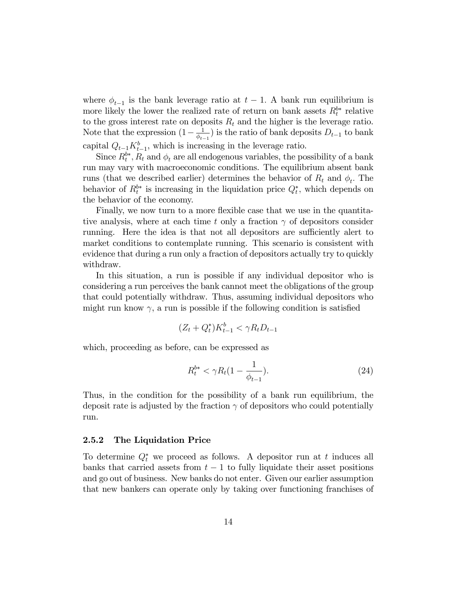where  $\phi_{t-1}$  is the bank leverage ratio at  $t-1$ . A bank run equilibrium is more likely the lower the realized rate of return on bank assets  $R_t^{b*}$  relative to the gross interest rate on deposits  $R_t$  and the higher is the leverage ratio. Note that the expression  $(1 - \frac{1}{\phi_{t-1}})$  $\frac{1}{\phi_{t-1}}$ ) is the ratio of bank deposits  $D_{t-1}$  to bank capital  $Q_{t-1}K_{t-1}^b$ , which is increasing in the leverage ratio.

Since  $R_t^{b*}$ ,  $R_t$  and  $\phi_t$  are all endogenous variables, the possibility of a bank run may vary with macroeconomic conditions. The equilibrium absent bank runs (that we described earlier) determines the behavior of  $R_t$  and  $\phi_t$ . The behavior of  $R_t^{b*}$  is increasing in the liquidation price  $Q_t^*$ , which depends on the behavior of the economy.

Finally, we now turn to a more flexible case that we use in the quantitative analysis, where at each time t only a fraction  $\gamma$  of depositors consider running. Here the idea is that not all depositors are sufficiently alert to market conditions to contemplate running. This scenario is consistent with evidence that during a run only a fraction of depositors actually try to quickly withdraw.

In this situation, a run is possible if any individual depositor who is considering a run perceives the bank cannot meet the obligations of the group that could potentially withdraw. Thus, assuming individual depositors who might run know  $\gamma$ , a run is possible if the following condition is satisfied

$$
(Z_t + Q_t^*)K_{t-1}^b < \gamma R_t D_{t-1}
$$

which, proceeding as before, can be expressed as

$$
R_t^{b*} < \gamma R_t (1 - \frac{1}{\phi_{t-1}}). \tag{24}
$$

Thus, in the condition for the possibility of a bank run equilibrium, the deposit rate is adjusted by the fraction  $\gamma$  of depositors who could potentially run.

#### 2.5.2 The Liquidation Price

To determine  $Q_t^*$  we proceed as follows. A depositor run at t induces all banks that carried assets from  $t-1$  to fully liquidate their asset positions and go out of business. New banks do not enter. Given our earlier assumption that new bankers can operate only by taking over functioning franchises of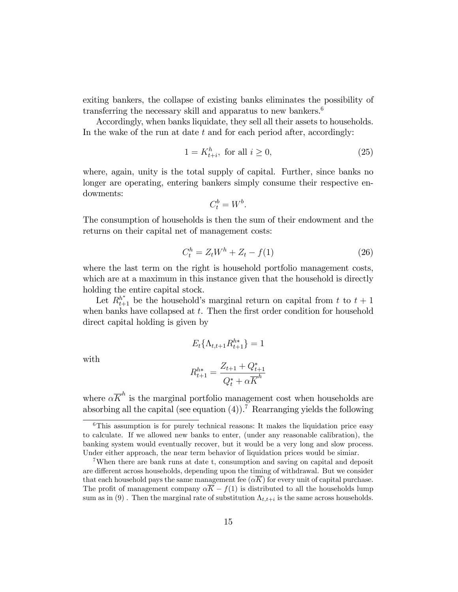exiting bankers, the collapse of existing banks eliminates the possibility of transferring the necessary skill and apparatus to new bankers. $6$ 

Accordingly, when banks liquidate, they sell all their assets to households. In the wake of the run at date  $t$  and for each period after, accordingly:

$$
1 = K_{t+i}^h, \text{ for all } i \ge 0,
$$
\n
$$
(25)
$$

where, again, unity is the total supply of capital. Further, since banks no longer are operating, entering bankers simply consume their respective endowments:

$$
C_t^b = W^b.
$$

The consumption of households is then the sum of their endowment and the returns on their capital net of management costs:

$$
C_t^h = Z_t W^h + Z_t - f(1)
$$
 (26)

where the last term on the right is household portfolio management costs, which are at a maximum in this instance given that the household is directly holding the entire capital stock.

Let  $R_{t+1}^{h^*}$  be the household's marginal return on capital from t to  $t + 1$ when banks have collapsed at  $t$ . Then the first order condition for household direct capital holding is given by

$$
E_t\{\Lambda_{t,t+1}R_{t+1}^{h*}\}=1
$$

with

$$
R_{t+1}^{h*} = \frac{Z_{t+1} + Q_{t+1}^*}{Q_t^* + \alpha \overline{K}^h}
$$

where  $\alpha \overline{K}^h$  is the marginal portfolio management cost when households are absorbing all the capital (see equation (4)).<sup>7</sup> Rearranging yields the following

 $6$ This assumption is for purely technical reasons: It makes the liquidation price easy to calculate. If we allowed new banks to enter, (under any reasonable calibration), the banking system would eventually recover, but it would be a very long and slow process. Under either approach, the near term behavior of liquidation prices would be simiar.

<sup>7</sup>When there are bank runs at date t, consumption and saving on capital and deposit are different across households, depending upon the timing of withdrawal. But we consider that each household pays the same management fee  $(\alpha \overline{K})$  for every unit of capital purchase. The profit of management company  $\alpha \overline{K} - f(1)$  is distributed to all the households lump sum as in (9). Then the marginal rate of substitution  $\Lambda_{t,t+i}$  is the same across households.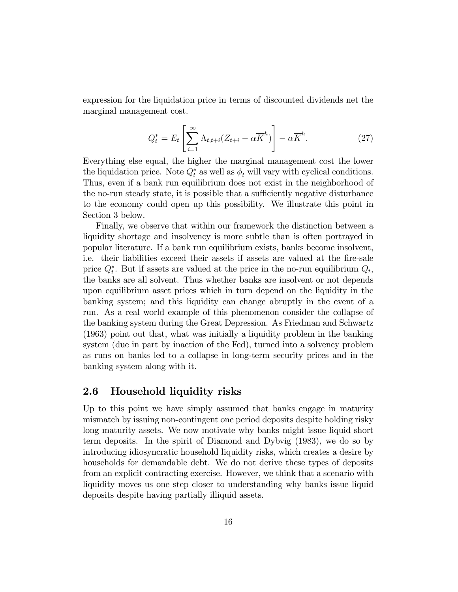expression for the liquidation price in terms of discounted dividends net the marginal management cost.

$$
Q_t^* = E_t \left[ \sum_{i=1}^{\infty} \Lambda_{t, t+i} (Z_{t+i} - \alpha \overline{K}^h) \right] - \alpha \overline{K}^h. \tag{27}
$$

Everything else equal, the higher the marginal management cost the lower the liquidation price. Note  $Q_t^*$  as well as  $\phi_t$  will vary with cyclical conditions. Thus, even if a bank run equilibrium does not exist in the neighborhood of the no-run steady state, it is possible that a sufficiently negative disturbance to the economy could open up this possibility. We illustrate this point in Section 3 below.

Finally, we observe that within our framework the distinction between a liquidity shortage and insolvency is more subtle than is often portrayed in popular literature. If a bank run equilibrium exists, banks become insolvent, i.e. their liabilities exceed their assets if assets are valued at the fire-sale price  $Q_t^*$ . But if assets are valued at the price in the no-run equilibrium  $Q_t$ , the banks are all solvent. Thus whether banks are insolvent or not depends upon equilibrium asset prices which in turn depend on the liquidity in the banking system; and this liquidity can change abruptly in the event of a run. As a real world example of this phenomenon consider the collapse of the banking system during the Great Depression. As Friedman and Schwartz (1963) point out that, what was initially a liquidity problem in the banking system (due in part by inaction of the Fed), turned into a solvency problem as runs on banks led to a collapse in long-term security prices and in the banking system along with it.

### 2.6 Household liquidity risks

Up to this point we have simply assumed that banks engage in maturity mismatch by issuing non-contingent one period deposits despite holding risky long maturity assets. We now motivate why banks might issue liquid short term deposits. In the spirit of Diamond and Dybvig (1983), we do so by introducing idiosyncratic household liquidity risks, which creates a desire by households for demandable debt. We do not derive these types of deposits from an explicit contracting exercise. However, we think that a scenario with liquidity moves us one step closer to understanding why banks issue liquid deposits despite having partially illiquid assets.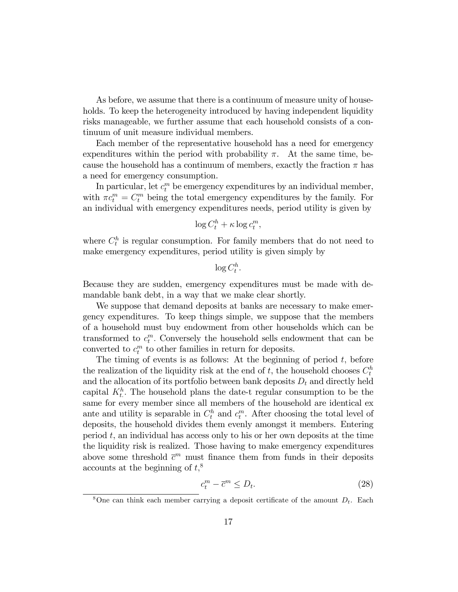As before, we assume that there is a continuum of measure unity of households. To keep the heterogeneity introduced by having independent liquidity risks manageable, we further assume that each household consists of a continuum of unit measure individual members.

Each member of the representative household has a need for emergency expenditures within the period with probability  $\pi$ . At the same time, because the household has a continuum of members, exactly the fraction  $\pi$  has a need for emergency consumption.

In particular, let  $c_t^m$  be emergency expenditures by an individual member, with  $\pi c_t^m = C_t^m$  being the total emergency expenditures by the family. For an individual with emergency expenditures needs, period utility is given by

$$
\log C_t^h + \kappa \log c_t^m,
$$

where  $C_t^h$  is regular consumption. For family members that do not need to make emergency expenditures, period utility is given simply by

 $\log C_t^h$ .

Because they are sudden, emergency expenditures must be made with demandable bank debt, in a way that we make clear shortly.

We suppose that demand deposits at banks are necessary to make emergency expenditures. To keep things simple, we suppose that the members of a household must buy endowment from other households which can be transformed to  $c_t^m$ . Conversely the household sells endowment that can be converted to  $c_t^m$  to other families in return for deposits.

The timing of events is as follows: At the beginning of period  $t$ , before the realization of the liquidity risk at the end of  $t$ , the household chooses  $C_t^h$ and the allocation of its portfolio between bank deposits  $D_t$  and directly held capital  $K_t^h$ . The household plans the date-t regular consumption to be the same for every member since all members of the household are identical ex ante and utility is separable in  $C_t^h$  and  $c_t^m$ . After choosing the total level of deposits, the household divides them evenly amongst it members. Entering period t, an individual has access only to his or her own deposits at the time the liquidity risk is realized. Those having to make emergency expenditures above some threshold  $\bar{c}^m$  must finance them from funds in their deposits accounts at the beginning of  $t$ <sup>8</sup>,

$$
c_t^m - \overline{c}^m \le D_t. \tag{28}
$$

<sup>&</sup>lt;sup>8</sup>One can think each member carrying a deposit certificate of the amount  $D_t$ . Each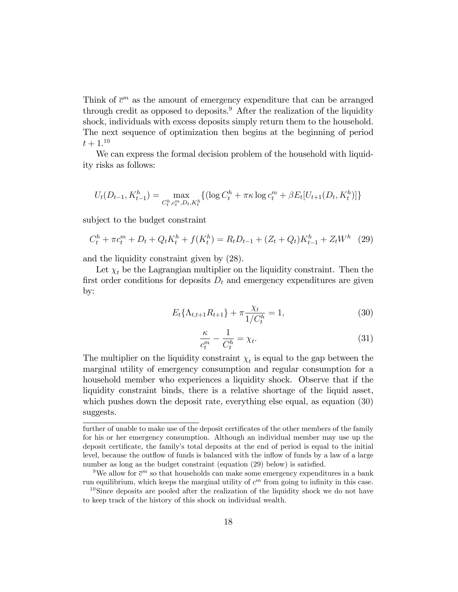Think of  $\bar{c}^m$  as the amount of emergency expenditure that can be arranged through credit as opposed to deposits.<sup>9</sup> After the realization of the liquidity shock, individuals with excess deposits simply return them to the household. The next sequence of optimization then begins at the beginning of period  $t + 1.10$ 

We can express the formal decision problem of the household with liquidity risks as follows:

$$
U_t(D_{t-1}, K_{t-1}^h) = \max_{C_t^h, c_t^m, D_t, K_t^h} \{ (\log C_t^h + \pi \kappa \log c_t^m + \beta E_t[U_{t+1}(D_t, K_t^h)] \}
$$

subject to the budget constraint

$$
C_t^h + \pi c_t^m + D_t + Q_t K_t^h + f(K_t^h) = R_t D_{t-1} + (Z_t + Q_t) K_{t-1}^h + Z_t W^h \tag{29}
$$

and the liquidity constraint given by (28).

Let  $\chi_t$  be the Lagrangian multiplier on the liquidity constraint. Then the first order conditions for deposits  $D_t$  and emergency expenditures are given by:

$$
E_t\{\Lambda_{t,t+1}R_{t+1}\} + \pi \frac{\chi_t}{1/C_t^h} = 1,
$$
\n(30)

$$
\frac{\kappa}{c_t^m} - \frac{1}{C_t^h} = \chi_t.
$$
\n(31)

The multiplier on the liquidity constraint  $\chi_t$  is equal to the gap between the marginal utility of emergency consumption and regular consumption for a household member who experiences a liquidity shock. Observe that if the liquidity constraint binds, there is a relative shortage of the liquid asset, which pushes down the deposit rate, everything else equal, as equation (30) suggests.

further of unable to make use of the deposit certificates of the other members of the family for his or her emergency consumption. Although an individual member may use up the deposit certificate, the family's total deposits at the end of period is equal to the initial level, because the outflow of funds is balanced with the inflow of funds by a law of a large number as long as the budget constraint (equation  $(29)$  below) is satisfied.

<sup>&</sup>lt;sup>9</sup>We allow for  $\bar{c}^m$  so that households can make some emergency expenditures in a bank run equilibrium, which keeps the marginal utility of  $c<sup>m</sup>$  from going to infinity in this case.

 $10\,\text{Since}$  deposits are pooled after the realization of the liquidity shock we do not have to keep track of the history of this shock on individual wealth.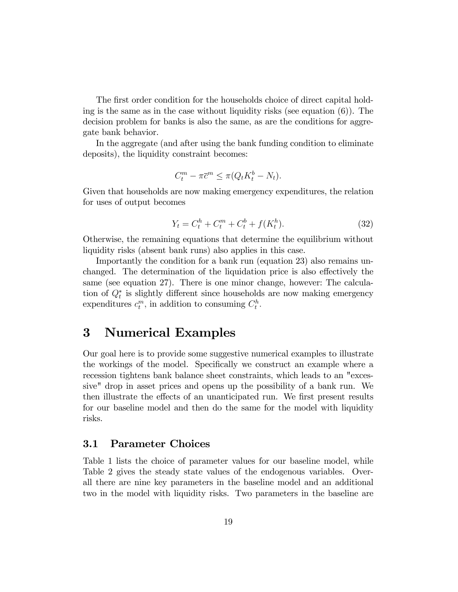The first order condition for the households choice of direct capital holding is the same as in the case without liquidity risks (see equation  $(6)$ ). The decision problem for banks is also the same, as are the conditions for aggregate bank behavior.

In the aggregate (and after using the bank funding condition to eliminate deposits), the liquidity constraint becomes:

$$
C_t^m - \pi \overline{c}^m \leq \pi (Q_t K_t^b - N_t).
$$

Given that households are now making emergency expenditures, the relation for uses of output becomes

$$
Y_t = C_t^h + C_t^m + C_t^b + f(K_t^h). \tag{32}
$$

Otherwise, the remaining equations that determine the equilibrium without liquidity risks (absent bank runs) also applies in this case.

Importantly the condition for a bank run (equation 23) also remains unchanged. The determination of the liquidation price is also effectively the same (see equation 27). There is one minor change, however: The calculation of  $Q_t^*$  is slightly different since households are now making emergency expenditures  $c_t^m$ , in addition to consuming  $C_t^h$ .

# 3 Numerical Examples

Our goal here is to provide some suggestive numerical examples to illustrate the workings of the model. Specifically we construct an example where a recession tightens bank balance sheet constraints, which leads to an "excessive" drop in asset prices and opens up the possibility of a bank run. We then illustrate the effects of an unanticipated run. We first present results for our baseline model and then do the same for the model with liquidity risks.

### 3.1 Parameter Choices

Table 1 lists the choice of parameter values for our baseline model, while Table 2 gives the steady state values of the endogenous variables. Overall there are nine key parameters in the baseline model and an additional two in the model with liquidity risks. Two parameters in the baseline are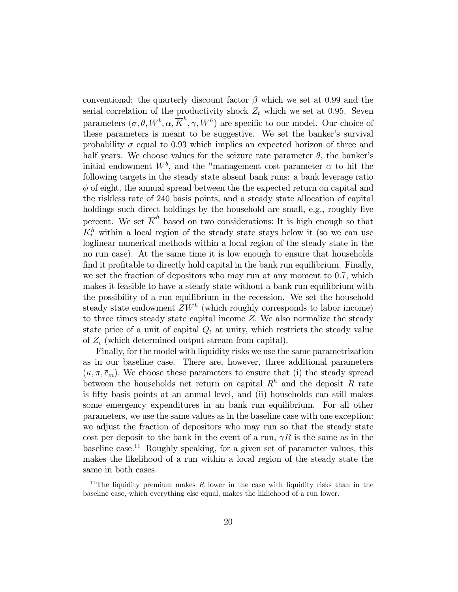conventional: the quarterly discount factor  $\beta$  which we set at 0.99 and the serial correlation of the productivity shock  $Z_t$  which we set at 0.95. Seven parameters  $(\sigma, \theta, W^b, \alpha, \overline{K}^h, \gamma, W^h)$  are specific to our model. Our choice of these parameters is meant to be suggestive. We set the banker's survival probability  $\sigma$  equal to 0.93 which implies an expected horizon of three and half years. We choose values for the seizure rate parameter  $\theta$ , the banker's initial endowment  $W^b$ , and the "management cost parameter  $\alpha$  to hit the following targets in the steady state absent bank runs: a bank leverage ratio  $\phi$  of eight, the annual spread between the the expected return on capital and the riskless rate of 240 basis points, and a steady state allocation of capital holdings such direct holdings by the household are small, e.g., roughly five percent. We set  $\overline{K}^h$  based on two considerations: It is high enough so that  $K_t^h$  within a local region of the steady state stays below it (so we can use loglinear numerical methods within a local region of the steady state in the no run case). At the same time it is low enough to ensure that households find it profitable to directly hold capital in the bank run equilibrium. Finally, we set the fraction of depositors who may run at any moment to 0.7, which makes it feasible to have a steady state without a bank run equilibrium with the possibility of a run equilibrium in the recession. We set the household steady state endowment  $ZW<sup>h</sup>$  (which roughly corresponds to labor income) to three times steady state capital income Z: We also normalize the steady state price of a unit of capital  $Q_t$  at unity, which restricts the steady value of  $Z_t$  (which determined output stream from capital).

Finally, for the model with liquidity risks we use the same parametrization as in our baseline case. There are, however, three additional parameters  $(\kappa, \pi, \bar{c}_m)$ . We choose these parameters to ensure that (i) the steady spread between the households net return on capital  $R<sup>h</sup>$  and the deposit R rate is fifty basis points at an annual level, and (ii) households can still makes some emergency expenditures in an bank run equilibrium. For all other parameters, we use the same values as in the baseline case with one exception: we adjust the fraction of depositors who may run so that the steady state cost per deposit to the bank in the event of a run,  $\gamma R$  is the same as in the baseline case.<sup>11</sup> Roughly speaking, for a given set of parameter values, this makes the likelihood of a run within a local region of the steady state the same in both cases.

<sup>&</sup>lt;sup>11</sup>The liquidity premium makes  $R$  lower in the case with liquidity risks than in the baseline case, which everything else equal, makes the likliehood of a run lower.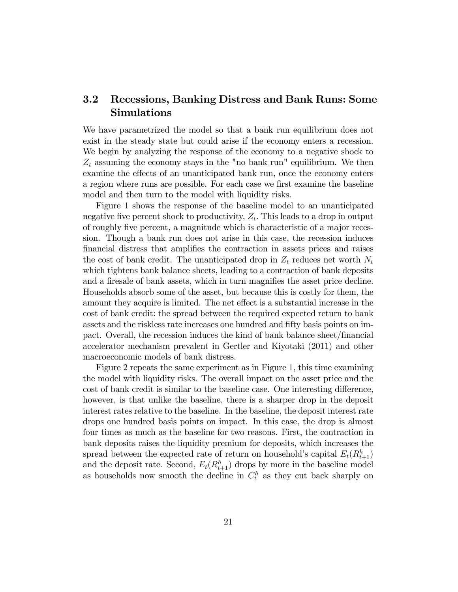# 3.2 Recessions, Banking Distress and Bank Runs: Some Simulations

We have parametrized the model so that a bank run equilibrium does not exist in the steady state but could arise if the economy enters a recession. We begin by analyzing the response of the economy to a negative shock to  $Z_t$  assuming the economy stays in the "no bank run" equilibrium. We then examine the effects of an unanticipated bank run, once the economy enters a region where runs are possible. For each case we first examine the baseline model and then turn to the model with liquidity risks.

Figure 1 shows the response of the baseline model to an unanticipated negative five percent shock to productivity,  $Z_t$ . This leads to a drop in output of roughly Öve percent, a magnitude which is characteristic of a major recession. Though a bank run does not arise in this case, the recession induces financial distress that amplifies the contraction in assets prices and raises the cost of bank credit. The unanticipated drop in  $Z_t$  reduces net worth  $N_t$ which tightens bank balance sheets, leading to a contraction of bank deposits and a firesale of bank assets, which in turn magnifies the asset price decline. Households absorb some of the asset, but because this is costly for them, the amount they acquire is limited. The net effect is a substantial increase in the cost of bank credit: the spread between the required expected return to bank assets and the riskless rate increases one hundred and fifty basis points on impact. Overall, the recession induces the kind of bank balance sheet/Önancial accelerator mechanism prevalent in Gertler and Kiyotaki (2011) and other macroeconomic models of bank distress.

Figure 2 repeats the same experiment as in Figure 1, this time examining the model with liquidity risks. The overall impact on the asset price and the cost of bank credit is similar to the baseline case. One interesting difference, however, is that unlike the baseline, there is a sharper drop in the deposit interest rates relative to the baseline. In the baseline, the deposit interest rate drops one hundred basis points on impact. In this case, the drop is almost four times as much as the baseline for two reasons. First, the contraction in bank deposits raises the liquidity premium for deposits, which increases the spread between the expected rate of return on household's capital  $E_t(R_{t+1}^h)$ and the deposit rate. Second,  $E_t(R_{t+1}^h)$  drops by more in the baseline model as households now smooth the decline in  $C_t^h$  as they cut back sharply on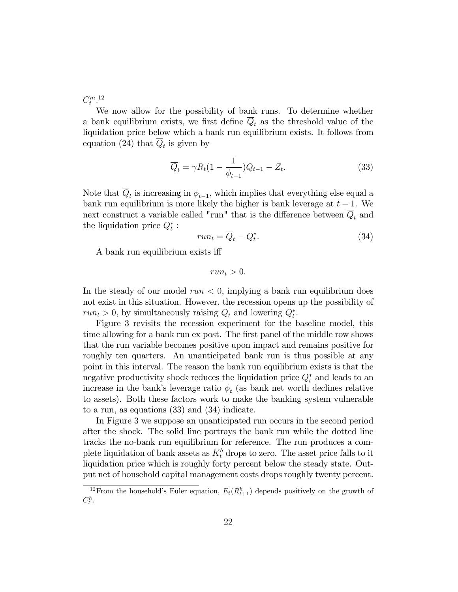$C_t^{m}$ <sup>12</sup>

We now allow for the possibility of bank runs. To determine whether a bank equilibrium exists, we first define  $\overline{Q}_t$  as the threshold value of the liquidation price below which a bank run equilibrium exists. It follows from equation (24) that  $Q_t$  is given by

$$
\overline{Q}_t = \gamma R_t (1 - \frac{1}{\phi_{t-1}}) Q_{t-1} - Z_t.
$$
\n(33)

Note that  $Q_t$  is increasing in  $\phi_{t-1}$ , which implies that everything else equal a bank run equilibrium is more likely the higher is bank leverage at  $t - 1$ . We next construct a variable called "run" that is the difference between  $\overline{Q}_t$  and the liquidation price  $Q_t^*$ :

$$
run_t = \overline{Q}_t - Q_t^*.
$$
\n(34)

A bank run equilibrium exists iff

$$
run_t > 0.
$$

In the steady of our model  $run < 0$ , implying a bank run equilibrium does not exist in this situation. However, the recession opens up the possibility of  $run_t > 0$ , by simultaneously raising  $Q_t$  and lowering  $Q_t^*$ .

Figure 3 revisits the recession experiment for the baseline model, this time allowing for a bank run ex post. The first panel of the middle row shows that the run variable becomes positive upon impact and remains positive for roughly ten quarters. An unanticipated bank run is thus possible at any point in this interval. The reason the bank run equilibrium exists is that the negative productivity shock reduces the liquidation price  $Q_t^*$  and leads to an increase in the bank's leverage ratio  $\phi_t$  (as bank net worth declines relative to assets). Both these factors work to make the banking system vulnerable to a run, as equations (33) and (34) indicate.

In Figure 3 we suppose an unanticipated run occurs in the second period after the shock. The solid line portrays the bank run while the dotted line tracks the no-bank run equilibrium for reference. The run produces a complete liquidation of bank assets as  $K_t^b$  drops to zero. The asset price falls to it liquidation price which is roughly forty percent below the steady state. Output net of household capital management costs drops roughly twenty percent.

<sup>&</sup>lt;sup>12</sup> From the household's Euler equation,  $E_t(R_{t+1}^h)$  depends positively on the growth of  $C_t^h$ .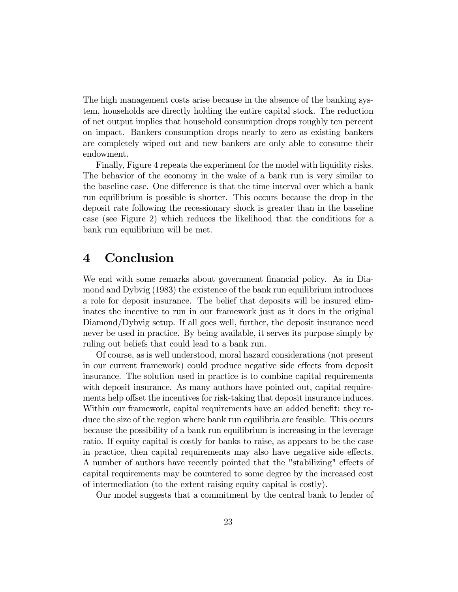The high management costs arise because in the absence of the banking system, households are directly holding the entire capital stock. The reduction of net output implies that household consumption drops roughly ten percent on impact. Bankers consumption drops nearly to zero as existing bankers are completely wiped out and new bankers are only able to consume their endowment.

Finally, Figure 4 repeats the experiment for the model with liquidity risks. The behavior of the economy in the wake of a bank run is very similar to the baseline case. One difference is that the time interval over which a bank run equilibrium is possible is shorter. This occurs because the drop in the deposit rate following the recessionary shock is greater than in the baseline case (see Figure 2) which reduces the likelihood that the conditions for a bank run equilibrium will be met.

# 4 Conclusion

We end with some remarks about government financial policy. As in Diamond and Dybvig (1983) the existence of the bank run equilibrium introduces a role for deposit insurance. The belief that deposits will be insured eliminates the incentive to run in our framework just as it does in the original Diamond/Dybvig setup. If all goes well, further, the deposit insurance need never be used in practice. By being available, it serves its purpose simply by ruling out beliefs that could lead to a bank run.

Of course, as is well understood, moral hazard considerations (not present in our current framework) could produce negative side effects from deposit insurance. The solution used in practice is to combine capital requirements with deposit insurance. As many authors have pointed out, capital requirements help offset the incentives for risk-taking that deposit insurance induces. Within our framework, capital requirements have an added benefit: they reduce the size of the region where bank run equilibria are feasible. This occurs because the possibility of a bank run equilibrium is increasing in the leverage ratio. If equity capital is costly for banks to raise, as appears to be the case in practice, then capital requirements may also have negative side effects. A number of authors have recently pointed that the "stabilizing" effects of capital requirements may be countered to some degree by the increased cost of intermediation (to the extent raising equity capital is costly).

Our model suggests that a commitment by the central bank to lender of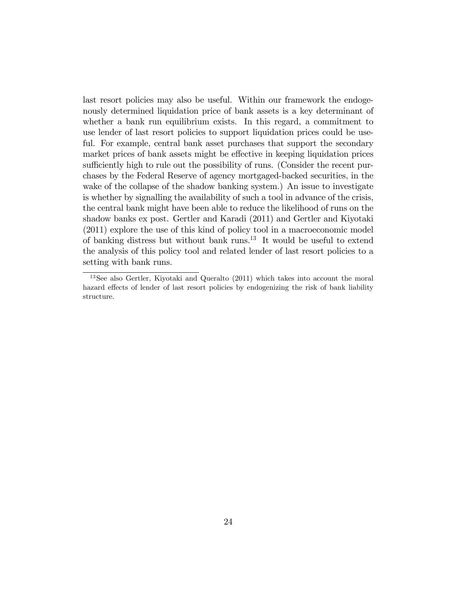last resort policies may also be useful. Within our framework the endogenously determined liquidation price of bank assets is a key determinant of whether a bank run equilibrium exists. In this regard, a commitment to use lender of last resort policies to support liquidation prices could be useful. For example, central bank asset purchases that support the secondary market prices of bank assets might be effective in keeping liquidation prices sufficiently high to rule out the possibility of runs. (Consider the recent purchases by the Federal Reserve of agency mortgaged-backed securities, in the wake of the collapse of the shadow banking system.) An issue to investigate is whether by signalling the availability of such a tool in advance of the crisis, the central bank might have been able to reduce the likelihood of runs on the shadow banks ex post. Gertler and Karadi (2011) and Gertler and Kiyotaki (2011) explore the use of this kind of policy tool in a macroeconomic model of banking distress but without bank runs.<sup>13</sup> It would be useful to extend the analysis of this policy tool and related lender of last resort policies to a setting with bank runs.

<sup>13</sup>See also Gertler, Kiyotaki and Queralto (2011) which takes into account the moral hazard effects of lender of last resort policies by endogenizing the risk of bank liability structure.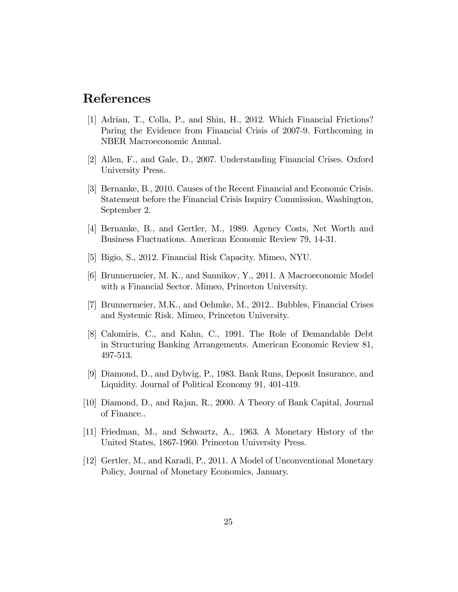# References

- [1] Adrian, T., Colla, P., and Shin, H., 2012. Which Financial Frictions? Paring the Evidence from Financial Crisis of 2007-9. Forthcoming in NBER Macroeconomic Annual.
- [2] Allen, F., and Gale, D., 2007. Understanding Financial Crises. Oxford University Press.
- [3] Bernanke, B., 2010. Causes of the Recent Financial and Economic Crisis. Statement before the Financial Crisis Inquiry Commission, Washington, September 2.
- [4] Bernanke, B., and Gertler, M., 1989. Agency Costs, Net Worth and Business Fluctuations. American Economic Review 79, 14-31.
- [5] Bigio, S., 2012. Financial Risk Capacity. Mimeo, NYU.
- [6] Brunnermeier, M. K., and Sannikov, Y., 2011. A Macroeconomic Model with a Financial Sector. Mimeo, Princeton University.
- [7] Brunnermeier, M.K., and Oehmke, M., 2012.. Bubbles, Financial Crises and Systemic Risk. Mimeo, Princeton University.
- [8] Calomiris, C., and Kahn, C., 1991. The Role of Demandable Debt in Structuring Banking Arrangements. American Economic Review 81, 497-513.
- [9] Diamond, D., and Dybvig, P., 1983. Bank Runs, Deposit Insurance, and Liquidity. Journal of Political Economy 91, 401-419.
- [10] Diamond, D., and Rajan, R., 2000. A Theory of Bank Capital, Journal of Finance..
- [11] Friedman, M., and Schwartz, A., 1963. A Monetary History of the United States, 1867-1960. Princeton University Press.
- [12] Gertler, M., and Karadi, P., 2011. A Model of Unconventional Monetary Policy, Journal of Monetary Economics, January.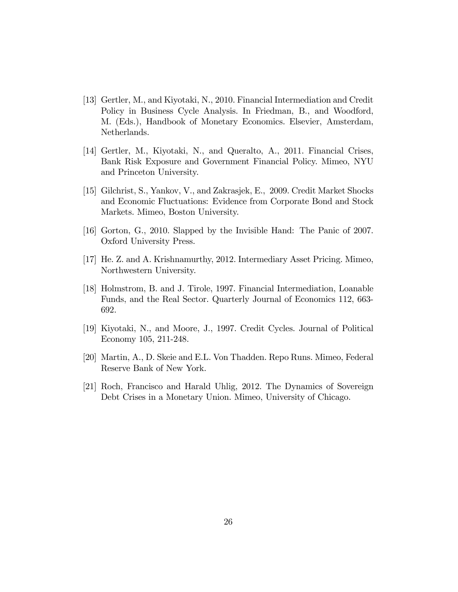- [13] Gertler, M., and Kiyotaki, N., 2010. Financial Intermediation and Credit Policy in Business Cycle Analysis. In Friedman, B., and Woodford, M. (Eds.), Handbook of Monetary Economics. Elsevier, Amsterdam, Netherlands.
- [14] Gertler, M., Kiyotaki, N., and Queralto, A., 2011. Financial Crises, Bank Risk Exposure and Government Financial Policy. Mimeo, NYU and Princeton University.
- [15] Gilchrist, S., Yankov, V., and Zakrasjek, E., 2009. Credit Market Shocks and Economic Fluctuations: Evidence from Corporate Bond and Stock Markets. Mimeo, Boston University.
- [16] Gorton, G., 2010. Slapped by the Invisible Hand: The Panic of 2007. Oxford University Press.
- [17] He. Z. and A. Krishnamurthy, 2012. Intermediary Asset Pricing. Mimeo, Northwestern University.
- [18] Holmstrom, B. and J. Tirole, 1997. Financial Intermediation, Loanable Funds, and the Real Sector. Quarterly Journal of Economics 112, 663- 692.
- [19] Kiyotaki, N., and Moore, J., 1997. Credit Cycles. Journal of Political Economy 105, 211-248.
- [20] Martin, A., D. Skeie and E.L. Von Thadden. Repo Runs. Mimeo, Federal Reserve Bank of New York.
- [21] Roch, Francisco and Harald Uhlig, 2012. The Dynamics of Sovereign Debt Crises in a Monetary Union. Mimeo, University of Chicago.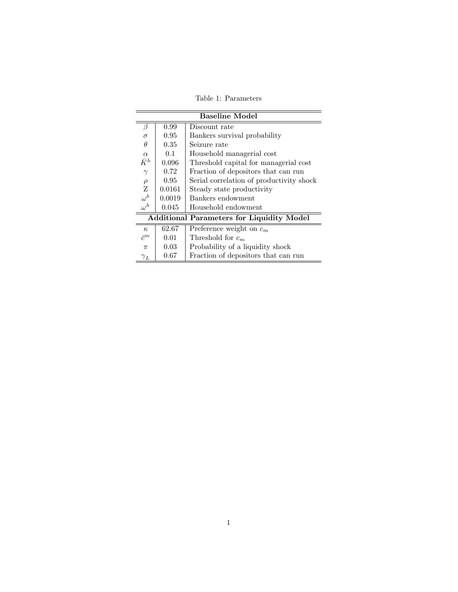Table 1: Parameters

| <b>Baseline Model</b>                            |                |                                          |  |  |
|--------------------------------------------------|----------------|------------------------------------------|--|--|
| β                                                | 0.99           | Discount rate                            |  |  |
| $\sigma$                                         | 0.95           | Bankers survival probability             |  |  |
| $\theta$                                         | $0.35^{\circ}$ | Seizure rate                             |  |  |
| $\alpha$                                         | 0.1            | Household managerial cost                |  |  |
| $\bar{K}^h$                                      | 0.096          | Threshold capital for managerial cost    |  |  |
| $\gamma$                                         | 0.72           | Fraction of depositors that can run      |  |  |
| $\rho$                                           | 0.95           | Serial correlation of productivity shock |  |  |
| Z                                                | 0.0161         | Steady state productivity                |  |  |
| $\omega^b$                                       | 0.0019         | Bankers endowment                        |  |  |
| $\omega^h$                                       | 0.045          | Household endowment                      |  |  |
| <b>Additional Parameters for Liquidity Model</b> |                |                                          |  |  |
| $\kappa$                                         | 62.67          | Preference weight on $c_m$               |  |  |
| $\bar{c}^m$                                      | 0.01           | Threshold for $c_m$                      |  |  |
| $\pi$                                            | 0.03           | Probability of a liquidity shock         |  |  |
| ${\gamma}_L$                                     | 0.67           | Fraction of depositors that can run      |  |  |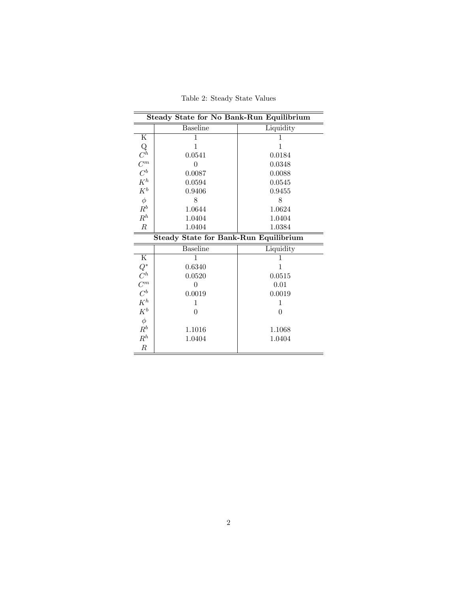| <b>Steady State for No Bank-Run Equilibrium</b>         |                 |           |  |  |
|---------------------------------------------------------|-----------------|-----------|--|--|
|                                                         | <b>Baseline</b> | Liquidity |  |  |
| Κ                                                       | 1               | ı         |  |  |
|                                                         | 1               | 1         |  |  |
| $\mathop{C}\limits^{Q}$                                 | 0.0541          | 0.0184    |  |  |
| $\overset{C^m}{C^b}_K$                                  | $\theta$        | 0.0348    |  |  |
|                                                         | 0.0087          | 0.0088    |  |  |
|                                                         | 0.0594          | 0.0545    |  |  |
| $K^b$                                                   | 0.9406          | 0.9455    |  |  |
| $\phi$                                                  | 8               | 8         |  |  |
| $R^b$                                                   | 1.0644          | 1.0624    |  |  |
| $R^h$                                                   | 1.0404          | 1.0404    |  |  |
| $\boldsymbol{R}$                                        | 1.0404          | 1.0384    |  |  |
| <b>Steady State for Bank-Run Equilibrium</b>            |                 |           |  |  |
|                                                         | <b>Baseline</b> | Liquidity |  |  |
| ${\bf K}$                                               | 1               | 1         |  |  |
| $\begin{array}{c} Q^* \\ C^h \\ C^m \\ K^h \end{array}$ | 0.6340          | 1         |  |  |
|                                                         | 0.0520          | 0.0515    |  |  |
|                                                         | 0               | 0.01      |  |  |
|                                                         | 0.0019          | 0.0019    |  |  |
|                                                         | 1               | 1         |  |  |
| $K^b$                                                   | $\overline{0}$  | $\Omega$  |  |  |
| $\phi$                                                  |                 |           |  |  |
| $\mathbb{R}^b$                                          | 1.1016          | 1.1068    |  |  |
| $\mathbb{R}^h$                                          | 1.0404          | 1.0404    |  |  |
| $\boldsymbol{R}$                                        |                 |           |  |  |

Table 2: Steady State Values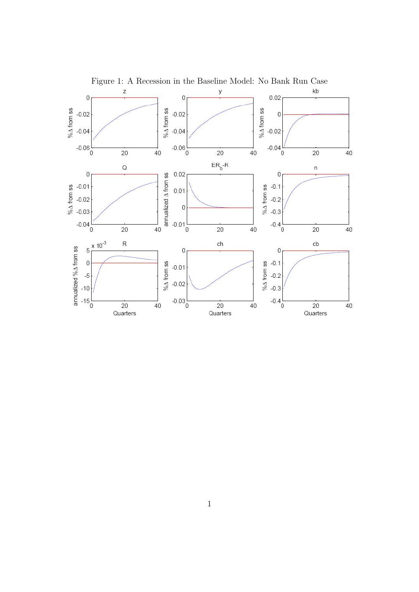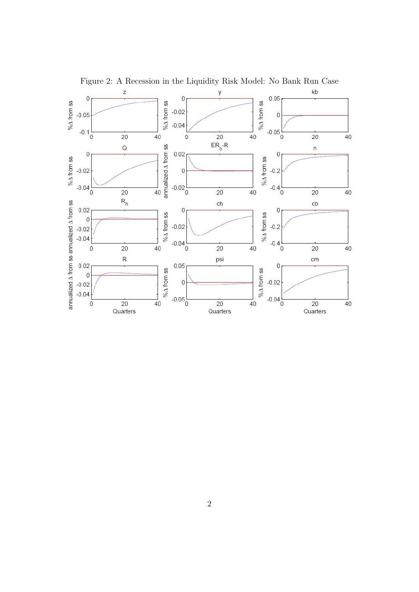

Figure 2: A Recession in the Liquidity Risk Model: No Bank Run Case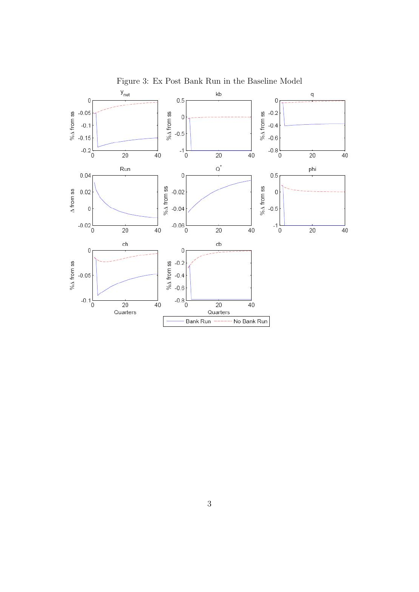

Figure 3: Ex Post Bank Run in the Baseline Model